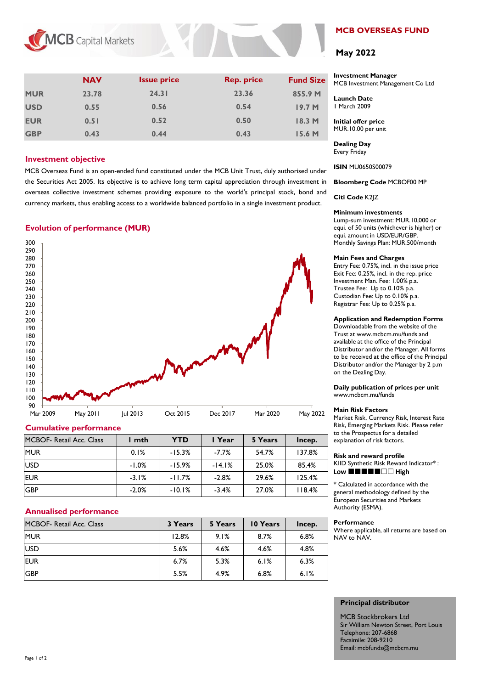

|            | <b>NAV</b> | <b>Issue price</b> | <b>Rep. price</b> | <b>Fund Size</b>  |
|------------|------------|--------------------|-------------------|-------------------|
| <b>MUR</b> | 23.78      | 24.31              | 23.36             | 855.9 M           |
| <b>USD</b> | 0.55       | 0.56               | 0.54              | 19.7 <sub>M</sub> |
| <b>EUR</b> | 0.51       | 0.52               | 0.50              | 18.3 M            |
| <b>GBP</b> | 0.43       | 0.44               | 0.43              | 15.6 M            |

## **Investment objective**

MCB Overseas Fund is an open-ended fund constituted under the MCB Unit Trust, duly authorised under the Securities Act 2005. Its objective is to achieve long term capital appreciation through investment in overseas collective investment schemes providing exposure to the world's principal stock, bond and currency markets, thus enabling access to a worldwide balanced portfolio in a single investment product.

# **Evolution of performance (MUR)**



## **Cumulative performance**

| MCBOF- Retail Acc. Class | mth     | <b>YTD</b> | I Year   | 5 Years | Incep. |
|--------------------------|---------|------------|----------|---------|--------|
| <b>MUR</b>               | 0.1%    | $-15.3%$   | $-7.7%$  | 54.7%   | 137.8% |
| <b>USD</b>               | $-1.0%$ | $-15.9%$   | $-14.1%$ | 25.0%   | 85.4%  |
| <b>EUR</b>               | $-3.1%$ | $-11.7%$   | $-2.8%$  | 29.6%   | 125.4% |
| <b>GBP</b>               | $-2.0%$ | $-10.1%$   | $-3.4%$  | 27.0%   | 118.4% |

## **Annualised performance**

| MCBOF- Retail Acc. Class | 3 Years | 5 Years | 10 Years | Incep. |
|--------------------------|---------|---------|----------|--------|
| <b>MUR</b>               | 12.8%   | 9.1%    | 8.7%     | 6.8%   |
| <b>USD</b>               | 5.6%    | 4.6%    | 4.6%     | 4.8%   |
| <b>EUR</b>               | 6.7%    | 5.3%    | 6.1%     | 6.3%   |
| <b>GBP</b>               | 5.5%    | 4.9%    | 6.8%     | 6.1%   |

# **MCB OVERSEAS FUND**

# **May 2022**

### **Investment Manager**  MCB Investment Management Co Ltd

**Launch Date** 1 March 2009

**Initial offer price** MUR.10.00 per unit

**Dealing Day** Every Friday

**ISIN** MU0650S00079

**Bloomberg Code** MCBOF00 MP

**Citi Code** K2JZ

### **Minimum investments**

Lump-sum investment: MUR.10,000 or equi. of 50 units (whichever is higher) or equi. amount in USD/EUR/GBP. Monthly Savings Plan: MUR.500/month

### **Main Fees and Charges**

Entry Fee: 0.75%, incl. in the issue price Exit Fee: 0.25%, incl. in the rep. price Investment Man. Fee: 1.00% p.a. Trustee Fee: Up to 0.10% p.a. Custodian Fee: Up to 0.10% p.a. Registrar Fee: Up to 0.25% p.a.

## **Application and Redemption Forms**

Downloadable from the website of the Trust at www.mcbcm.mu/funds and available at the office of the Principal Distributor and/or the Manager. All forms to be received at the office of the Principal Distributor and/or the Manager by 2 p.m on the Dealing Day.

**Daily publication of prices per unit** www.mcbcm.mu/funds

## **Main Risk Factors**

Market Risk, Currency Risk, Interest Rate Risk, Emerging Markets Risk. Please refer to the Prospectus for a detailed explanation of risk factors.

#### **Risk and reward profile**

KIID Synthetic Risk Reward Indicator\* : Low **HHHHHHHH** 

\* Calculated in accordance with the general methodology defined by the European Securities and Markets Authority (ESMA).

#### **Performance**

Where applicable, all returns are based on NAV to NAV.

## **Principal distributor**

MCB Stockbrokers Ltd Sir William Newton Street, Port Louis Telephone: 207-6868 Facsimile: 208-9210 Email: mcbfunds@mcbcm.mu